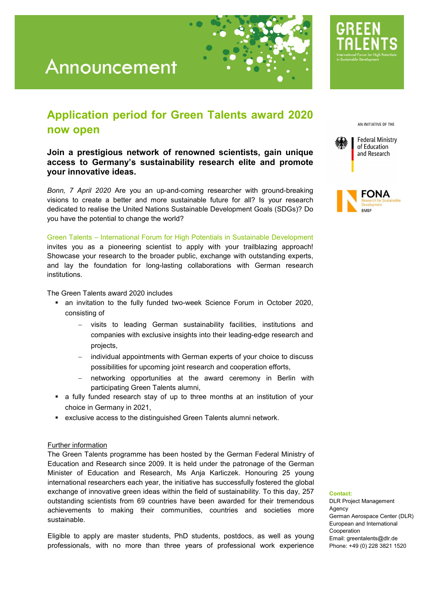# Announcement

### Application period for Green Talents award 2020 now open

Join a prestigious network of renowned scientists, gain unique access to Germany's sustainability research elite and promote your innovative ideas.

*Bonn, 7 April 2020* Are you an up-and-coming researcher with ground-breaking visions to create a better and more sustainable future for all? Is your research dedicated to realise the United Nations Sustainable Development Goals (SDGs)? Do you have the potential to change the world?

Green Talents – International Forum for High Potentials in Sustainable Development invites you as a pioneering scientist to apply with your trailblazing approach! Showcase your research to the broader public, exchange with outstanding experts, and lay the foundation for long-lasting collaborations with German research institutions.

The Green Talents award 2020 includes

- an invitation to the fully funded two-week Science Forum in October 2020, consisting of
	- visits to leading German sustainability facilities, institutions and companies with exclusive insights into their leading-edge research and projects,
	- individual appointments with German experts of your choice to discuss possibilities for upcoming joint research and cooperation efforts,
	- networking opportunities at the award ceremony in Berlin with participating Green Talents alumni,
- a fully funded research stay of up to three months at an institution of your choice in Germany in 2021,
- exclusive access to the distinguished Green Talents alumni network.

### Further information

The Green Talents programme has been hosted by the German Federal Ministry of Education and Research since 2009. It is held under the patronage of the German Minister of Education and Research, Ms Anja Karliczek. Honouring 25 young international researchers each year, the initiative has successfully fostered the global exchange of innovative green ideas within the field of sustainability. To this day, 257 outstanding scientists from 69 countries have been awarded for their tremendous achievements to making their communities, countries and societies more sustainable.

Eligible to apply are master students, PhD students, postdocs, as well as young professionals, with no more than three years of professional work experience AN INITIATIVE OF THE





#### Contact:

DLR Project Management Agency German Aerospace Center (DLR) European and International Cooperation Email: greentalents@dlr.de Phone: +49 (0) 228 3821 1520